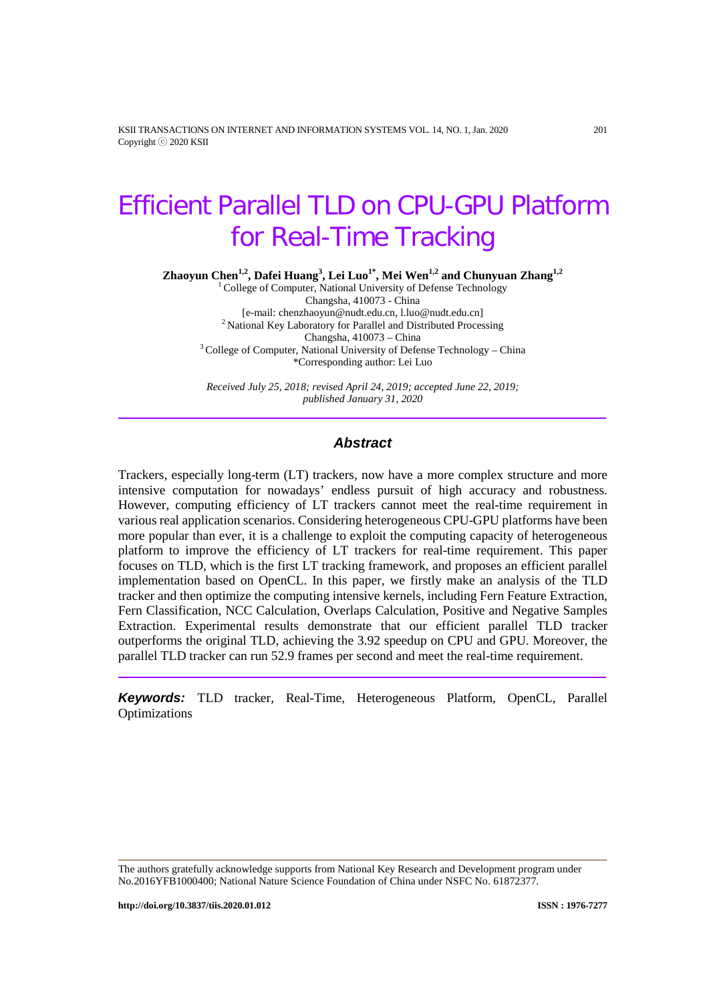KSII TRANSACTIONS ON INTERNET AND INFORMATION SYSTEMS VOL. 14, NO. 1, Jan. 2020 201 Copyright ⓒ 2020 KSII

# Efficient Parallel TLD on CPU-GPU Platform for Real-Time Tracking

**Zhaoyun Chen1,2, Dafei Huang3 , Lei Luo1\* , Mei Wen1,2 and Chunyuan Zhang1,2**

<sup>1</sup> College of Computer, National University of Defense Technology Changsha, 410073 - China<br>[e-mail: chenzhaoyun@nudt.edu.cn, l.luo@nudt.edu.cn] <sup>2</sup> National Key Laboratory for Parallel and Distributed Processing<br>Changsha,  $410073$  – China  $3^3$  College of Computer, National University of Defense Technology – China \*Corresponding author: Lei Luo

*Received July 25, 2018; revised April 24, 2019; accepted June 22, 2019; published January 31, 2020*

## *Abstract*

Trackers, especially long-term (LT) trackers, now have a more complex structure and more intensive computation for nowadays' endless pursuit of high accuracy and robustness. However, computing efficiency of LT trackers cannot meet the real-time requirement in various real application scenarios. Considering heterogeneous CPU-GPU platforms have been more popular than ever, it is a challenge to exploit the computing capacity of heterogeneous platform to improve the efficiency of LT trackers for real-time requirement. This paper focuses on TLD, which is the first LT tracking framework, and proposes an efficient parallel implementation based on OpenCL. In this paper, we firstly make an analysis of the TLD tracker and then optimize the computing intensive kernels, including Fern Feature Extraction, Fern Classification, NCC Calculation, Overlaps Calculation, Positive and Negative Samples Extraction. Experimental results demonstrate that our efficient parallel TLD tracker outperforms the original TLD, achieving the 3.92 speedup on CPU and GPU. Moreover, the parallel TLD tracker can run 52.9 frames per second and meet the real-time requirement.

*Keywords:* TLD tracker, Real-Time, Heterogeneous Platform, OpenCL, Parallel **Optimizations** 

The authors gratefully acknowledge supports from National Key Research and Development program under No.2016YFB1000400; National Nature Science Foundation of China under NSFC No. 61872377.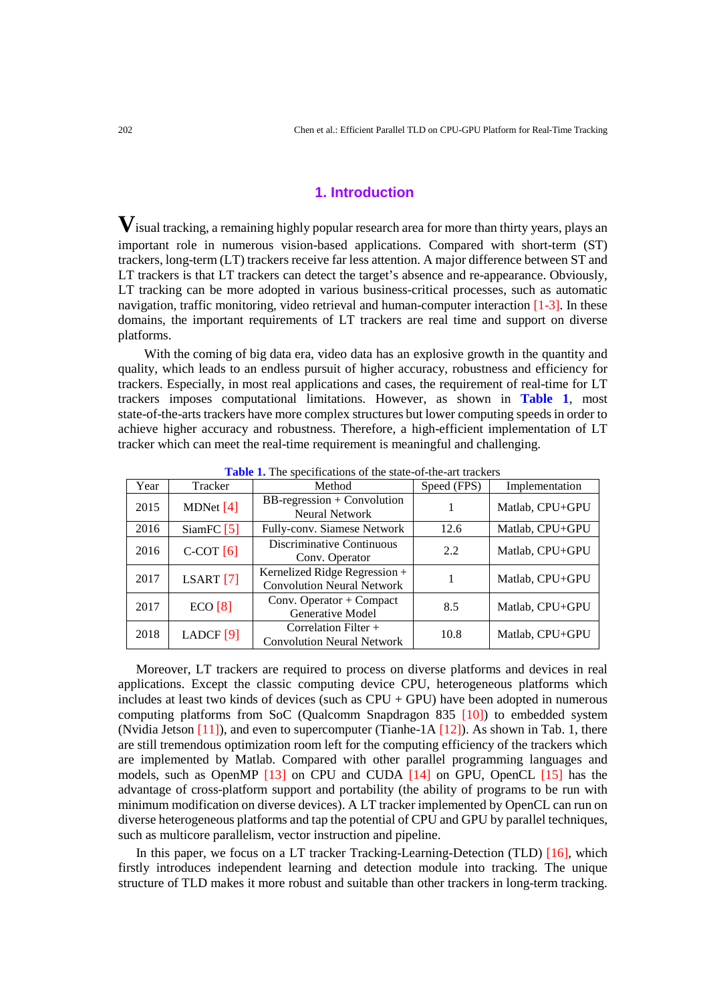# **1. Introduction**

**V**isual tracking, a remaining highly popular research area for more than thirty years, plays an important role in numerous vision-based applications. Compared with short-term (ST) trackers, long-term (LT) trackers receive far less attention. A major difference between ST and LT trackers is that LT trackers can detect the target's absence and re-appearance. Obviously, LT tracking can be more adopted in various business-critical processes, such as automatic navigation, traffic monitoring, video retrieval and human-computer interaction [1-3]. In these domains, the important requirements of LT trackers are real time and support on diverse platforms.

With the coming of big data era, video data has an explosive growth in the quantity and quality, which leads to an endless pursuit of higher accuracy, robustness and efficiency for trackers. Especially, in most real applications and cases, the requirement of real-time for LT trackers imposes computational limitations. However, as shown in **Table 1**, most state-of-the-arts trackers have more complex structures but lower computing speeds in order to achieve higher accuracy and robustness. Therefore, a high-efficient implementation of LT tracker which can meet the real-time requirement is meaningful and challenging.

| Year | Tracker      | Method                                                             | Speed (FPS) | Implementation  |  |
|------|--------------|--------------------------------------------------------------------|-------------|-----------------|--|
| 2015 | MDNet $[4]$  | BB-regression + Convolution<br><b>Neural Network</b>               |             | Matlab, CPU+GPU |  |
| 2016 | SiamFC $[5]$ | Fully-conv. Siamese Network                                        | 12.6        | Matlab, CPU+GPU |  |
| 2016 | $C-COT[6]$   | Discriminative Continuous<br>Conv. Operator                        | 2.2.        | Matlab, CPU+GPU |  |
| 2017 | LSART $[7]$  | Kernelized Ridge Regression +<br><b>Convolution Neural Network</b> |             | Matlab, CPU+GPU |  |
| 2017 | ECO [8]      | Conv. Operator $+$ Compact<br>Generative Model                     | 8.5         | Matlab, CPU+GPU |  |
| 2018 | LADCF $[9]$  | Correlation Filter $+$<br><b>Convolution Neural Network</b>        | 10.8        | Matlab, CPU+GPU |  |

**Table 1.** The specifications of the state-of-the-art trackers

Moreover, LT trackers are required to process on diverse platforms and devices in real applications. Except the classic computing device CPU, heterogeneous platforms which includes at least two kinds of devices (such as CPU + GPU) have been adopted in numerous computing platforms from SoC (Qualcomm Snapdragon 835 [10]) to embedded system (Nvidia Jetson  $[11]$ ), and even to supercomputer (Tianhe-1A  $[12]$ ). As shown in Tab. 1, there are still tremendous optimization room left for the computing efficiency of the trackers which are implemented by Matlab. Compared with other parallel programming languages and models, such as OpenMP [13] on CPU and CUDA [14] on GPU, OpenCL [15] has the advantage of cross-platform support and portability (the ability of programs to be run with minimum modification on diverse devices). A LT tracker implemented by OpenCL can run on diverse heterogeneous platforms and tap the potential of CPU and GPU by parallel techniques, such as multicore parallelism, vector instruction and pipeline.

In this paper, we focus on a LT tracker Tracking-Learning-Detection (TLD) [16], which firstly introduces independent learning and detection module into tracking. The unique structure of TLD makes it more robust and suitable than other trackers in long-term tracking.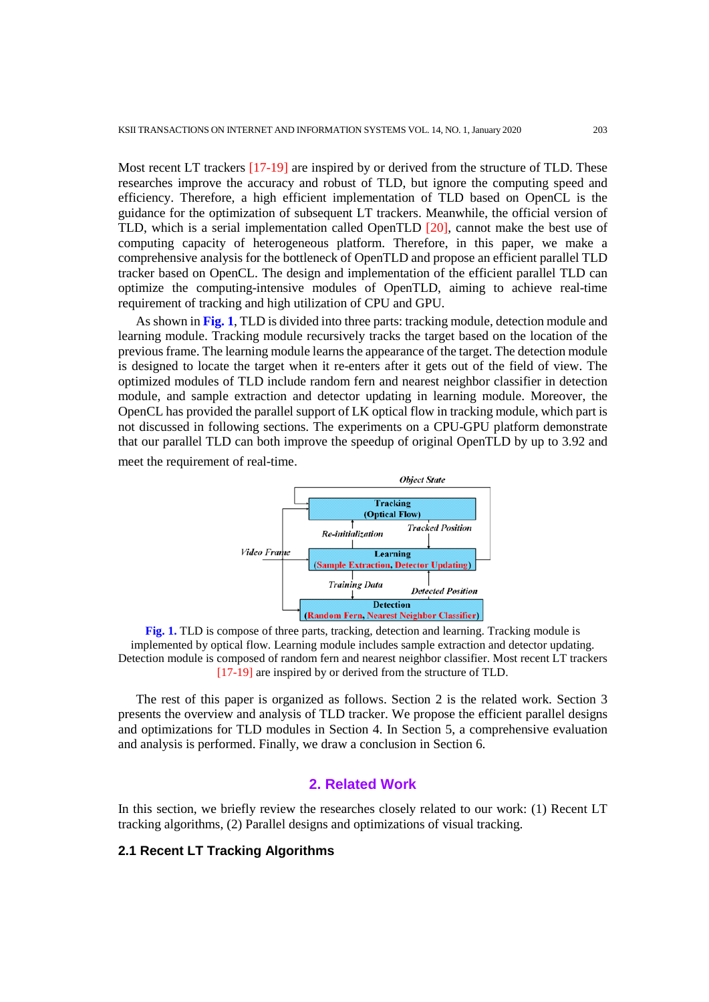Most recent LT trackers [17-19] are inspired by or derived from the structure of TLD. These researches improve the accuracy and robust of TLD, but ignore the computing speed and efficiency. Therefore, a high efficient implementation of TLD based on OpenCL is the guidance for the optimization of subsequent LT trackers. Meanwhile, the official version of TLD, which is a serial implementation called OpenTLD [20], cannot make the best use of computing capacity of heterogeneous platform. Therefore, in this paper, we make a comprehensive analysis for the bottleneck of OpenTLD and propose an efficient parallel TLD tracker based on OpenCL. The design and implementation of the efficient parallel TLD can optimize the computing-intensive modules of OpenTLD, aiming to achieve real-time requirement of tracking and high utilization of CPU and GPU.

As shown in **Fig. 1**, TLD is divided into three parts: tracking module, detection module and learning module. Tracking module recursively tracks the target based on the location of the previous frame. The learning module learns the appearance of the target. The detection module is designed to locate the target when it re-enters after it gets out of the field of view. The optimized modules of TLD include random fern and nearest neighbor classifier in detection module, and sample extraction and detector updating in learning module. Moreover, the OpenCL has provided the parallel support of LK optical flow in tracking module, which part is not discussed in following sections. The experiments on a CPU-GPU platform demonstrate that our parallel TLD can both improve the speedup of original OpenTLD by up to 3.92 and meet the requirement of real-time.



**Fig. 1.** TLD is compose of three parts, tracking, detection and learning. Tracking module is implemented by optical flow. Learning module includes sample extraction and detector updating. Detection module is composed of random fern and nearest neighbor classifier. Most recent LT trackers [17-19] are inspired by or derived from the structure of TLD.

The rest of this paper is organized as follows. Section 2 is the related work. Section 3 presents the overview and analysis of TLD tracker. We propose the efficient parallel designs and optimizations for TLD modules in Section 4. In Section 5, a comprehensive evaluation and analysis is performed. Finally, we draw a conclusion in Section 6.

# **2. Related Work**

In this section, we briefly review the researches closely related to our work: (1) Recent LT tracking algorithms, (2) Parallel designs and optimizations of visual tracking.

#### **2.1 Recent LT Tracking Algorithms**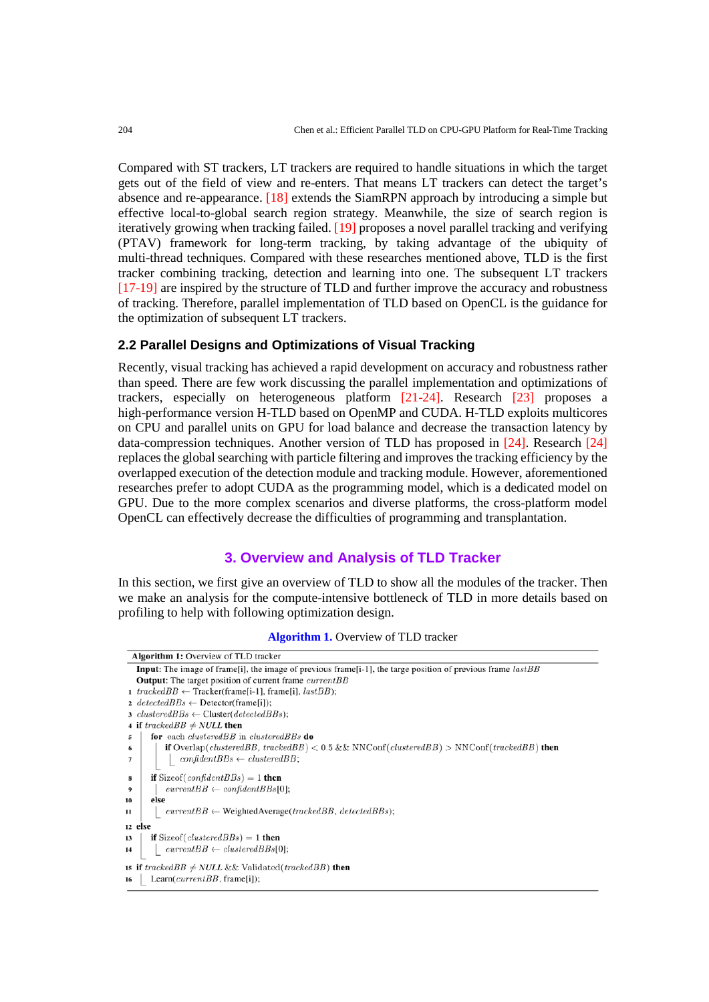Compared with ST trackers, LT trackers are required to handle situations in which the target gets out of the field of view and re-enters. That means LT trackers can detect the target's absence and re-appearance. [18] extends the SiamRPN approach by introducing a simple but effective local-to-global search region strategy. Meanwhile, the size of search region is iteratively growing when tracking failed. [19] proposes a novel parallel tracking and verifying (PTAV) framework for long-term tracking, by taking advantage of the ubiquity of multi-thread techniques. Compared with these researches mentioned above, TLD is the first tracker combining tracking, detection and learning into one. The subsequent LT trackers [17-19] are inspired by the structure of TLD and further improve the accuracy and robustness of tracking. Therefore, parallel implementation of TLD based on OpenCL is the guidance for the optimization of subsequent LT trackers.

# **2.2 Parallel Designs and Optimizations of Visual Tracking**

Recently, visual tracking has achieved a rapid development on accuracy and robustness rather than speed. There are few work discussing the parallel implementation and optimizations of trackers, especially on heterogeneous platform [21-24]. Research [23] proposes a high-performance version H-TLD based on OpenMP and CUDA. H-TLD exploits multicores on CPU and parallel units on GPU for load balance and decrease the transaction latency by data-compression techniques. Another version of TLD has proposed in [24]. Research [24] replaces the global searching with particle filtering and improves the tracking efficiency by the overlapped execution of the detection module and tracking module. However, aforementioned researches prefer to adopt CUDA as the programming model, which is a dedicated model on GPU. Due to the more complex scenarios and diverse platforms, the cross-platform model OpenCL can effectively decrease the difficulties of programming and transplantation.

# **3. Overview and Analysis of TLD Tracker**

In this section, we first give an overview of TLD to show all the modules of the tracker. Then we make an analysis for the compute-intensive bottleneck of TLD in more details based on profiling to help with following optimization design.

**Algorithm 1.** Overview of TLD tracker

| <b>Algorithm 1:</b> Overview of TLD tracker                                                                                         |  |  |  |  |
|-------------------------------------------------------------------------------------------------------------------------------------|--|--|--|--|
| <b>Input:</b> The image of frame [i], the image of previous frame $[i-1]$ , the targe position of previous frame $lastBB$           |  |  |  |  |
| <b>Output:</b> The target position of current frame currentBB                                                                       |  |  |  |  |
| 1 trackedBB $\leftarrow$ Tracker(frame[i-1], frame[i], lastBB);                                                                     |  |  |  |  |
| 2 detected BBs $\leftarrow$ Detector(frame[i]);                                                                                     |  |  |  |  |
| 3 clustered $BBs \leftarrow$ Cluster(detected $BBs$ );                                                                              |  |  |  |  |
| 4 if $\text{trace} \text{dB} \neq \text{NULL}$ then                                                                                 |  |  |  |  |
| for each <i>clusteredBB</i> in <i>clusteredBBs</i> do<br>5                                                                          |  |  |  |  |
| <b>if</b> Overlap( <i>clusteredBB</i> , trackedBB) $< 0.5$ && NNConf( <i>clusteredBB</i> ) $>$ NNConf( <i>trackedBB</i> ) then<br>6 |  |  |  |  |
| $confidentBBs \leftarrow clusteredBB;$<br>7                                                                                         |  |  |  |  |
| <b>if</b> Size of $($ <i>confident BBs</i> $) = 1$ <b>then</b><br>8                                                                 |  |  |  |  |
| $currentBB \leftarrow confidentBBs[0];$<br>9                                                                                        |  |  |  |  |
| else<br>10                                                                                                                          |  |  |  |  |
| $currentBB \leftarrow WeightedAverage (tracked BB, detected BB);$<br>11                                                             |  |  |  |  |
| 12 else                                                                                                                             |  |  |  |  |
| <b>if</b> Sizeof( <i>clusteredBBs</i> ) = 1 <b>then</b><br>13                                                                       |  |  |  |  |
| $currentBB \leftarrow clusteredBBs[0];$<br>14                                                                                       |  |  |  |  |
| <b>15 if</b> trackedBB $\neq$ NULL && Validated(trackedBB) <b>then</b>                                                              |  |  |  |  |
| Learn( $currentBB$ , frame[i]);<br>16                                                                                               |  |  |  |  |
|                                                                                                                                     |  |  |  |  |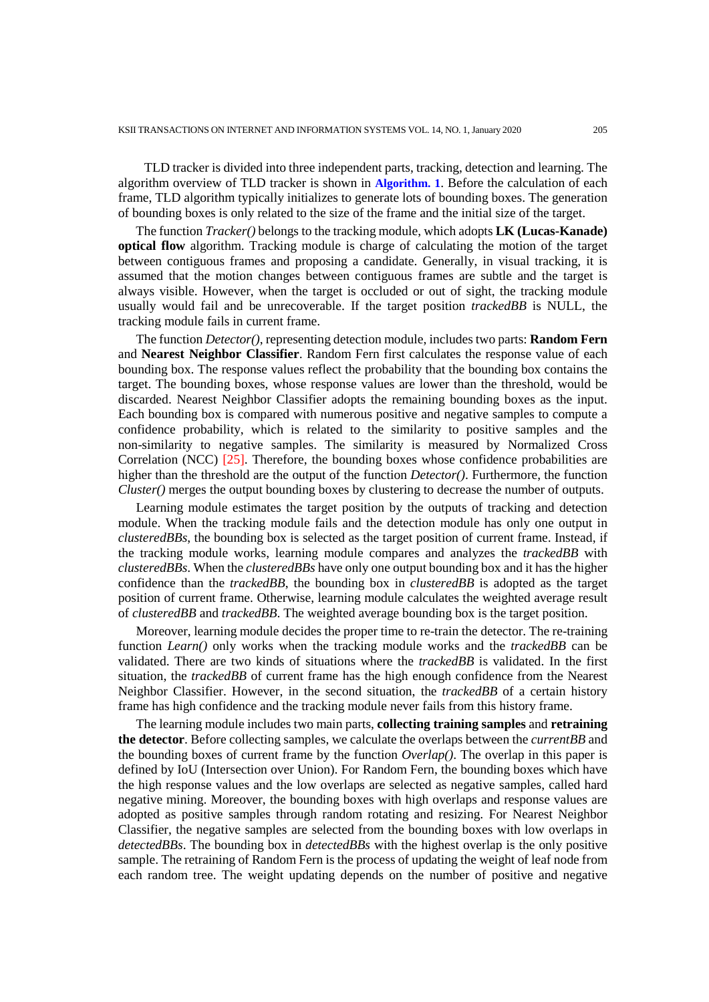TLD tracker is divided into three independent parts, tracking, detection and learning. The algorithm overview of TLD tracker is shown in **Algorithm. 1**. Before the calculation of each frame, TLD algorithm typically initializes to generate lots of bounding boxes. The generation of bounding boxes is only related to the size of the frame and the initial size of the target.

The function *Tracker()* belongs to the tracking module, which adopts **LK (Lucas-Kanade) optical flow** algorithm. Tracking module is charge of calculating the motion of the target between contiguous frames and proposing a candidate. Generally, in visual tracking, it is assumed that the motion changes between contiguous frames are subtle and the target is always visible. However, when the target is occluded or out of sight, the tracking module usually would fail and be unrecoverable. If the target position *trackedBB* is NULL, the tracking module fails in current frame.

The function *Detector()*, representing detection module, includes two parts: **Random Fern** and **Nearest Neighbor Classifier**. Random Fern first calculates the response value of each bounding box. The response values reflect the probability that the bounding box contains the target. The bounding boxes, whose response values are lower than the threshold, would be discarded. Nearest Neighbor Classifier adopts the remaining bounding boxes as the input. Each bounding box is compared with numerous positive and negative samples to compute a confidence probability, which is related to the similarity to positive samples and the non-similarity to negative samples. The similarity is measured by Normalized Cross Correlation (NCC) [25]. Therefore, the bounding boxes whose confidence probabilities are higher than the threshold are the output of the function *Detector()*. Furthermore, the function *Cluster()* merges the output bounding boxes by clustering to decrease the number of outputs.

Learning module estimates the target position by the outputs of tracking and detection module. When the tracking module fails and the detection module has only one output in *clusteredBBs*, the bounding box is selected as the target position of current frame. Instead, if the tracking module works, learning module compares and analyzes the *trackedBB* with *clusteredBBs*. When the *clusteredBBs* have only one output bounding box and it has the higher confidence than the *trackedBB*, the bounding box in *clusteredBB* is adopted as the target position of current frame. Otherwise, learning module calculates the weighted average result of *clusteredBB* and *trackedBB*. The weighted average bounding box is the target position.

Moreover, learning module decides the proper time to re-train the detector. The re-training function *Learn()* only works when the tracking module works and the *trackedBB* can be validated. There are two kinds of situations where the *trackedBB* is validated. In the first situation, the *trackedBB* of current frame has the high enough confidence from the Nearest Neighbor Classifier. However, in the second situation, the *trackedBB* of a certain history frame has high confidence and the tracking module never fails from this history frame.

The learning module includes two main parts, **collecting training samples** and **retraining the detector**. Before collecting samples, we calculate the overlaps between the *currentBB* and the bounding boxes of current frame by the function *Overlap()*. The overlap in this paper is defined by IoU (Intersection over Union). For Random Fern, the bounding boxes which have the high response values and the low overlaps are selected as negative samples, called hard negative mining. Moreover, the bounding boxes with high overlaps and response values are adopted as positive samples through random rotating and resizing. For Nearest Neighbor Classifier, the negative samples are selected from the bounding boxes with low overlaps in *detectedBBs*. The bounding box in *detectedBBs* with the highest overlap is the only positive sample. The retraining of Random Fern is the process of updating the weight of leaf node from each random tree. The weight updating depends on the number of positive and negative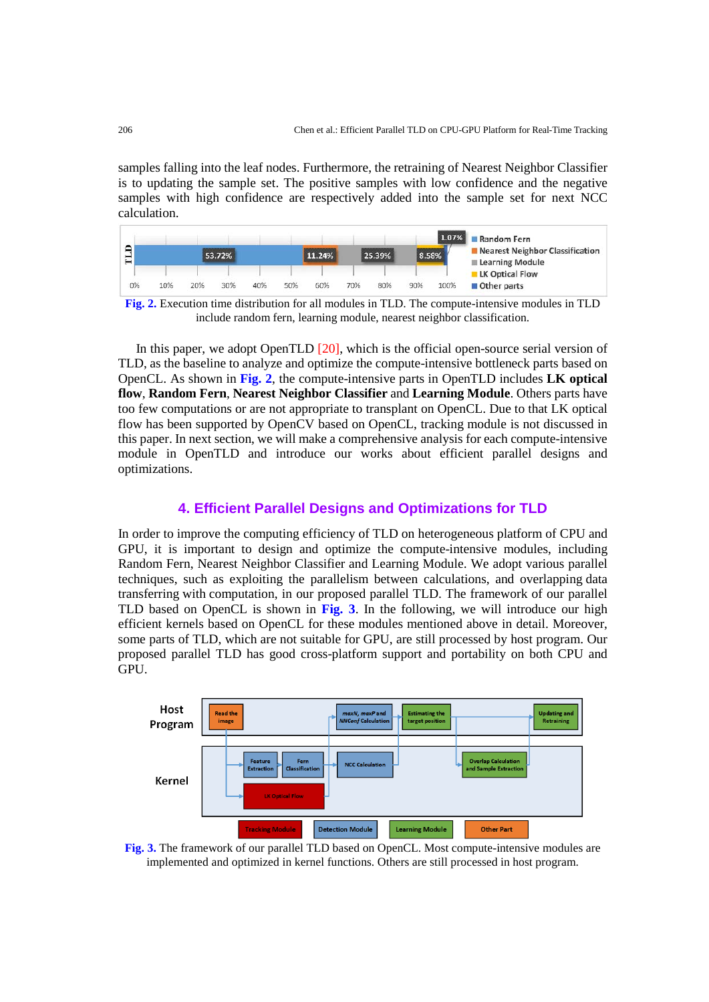samples falling into the leaf nodes. Furthermore, the retraining of Nearest Neighbor Classifier is to updating the sample set. The positive samples with low confidence and the negative samples with high confidence are respectively added into the sample set for next NCC calculation.



**Fig. 2.** Execution time distribution for all modules in TLD. The compute-intensive modules in TLD include random fern, learning module, nearest neighbor classification.

In this paper, we adopt OpenTLD [20], which is the official open-source serial version of TLD, as the baseline to analyze and optimize the compute-intensive bottleneck parts based on OpenCL. As shown in **Fig. 2**, the compute-intensive parts in OpenTLD includes **LK optical flow**, **Random Fern**, **Nearest Neighbor Classifier** and **Learning Module**. Others parts have too few computations or are not appropriate to transplant on OpenCL. Due to that LK optical flow has been supported by OpenCV based on OpenCL, tracking module is not discussed in this paper. In next section, we will make a comprehensive analysis for each compute-intensive module in OpenTLD and introduce our works about efficient parallel designs and optimizations.

# **4. Efficient Parallel Designs and Optimizations for TLD**

In order to improve the computing efficiency of TLD on heterogeneous platform of CPU and GPU, it is important to design and optimize the compute-intensive modules, including Random Fern, Nearest Neighbor Classifier and Learning Module. We adopt various parallel techniques, such as exploiting the parallelism between calculations, and overlapping data transferring with computation, in our proposed parallel TLD. The framework of our parallel TLD based on OpenCL is shown in **Fig. 3**. In the following, we will introduce our high efficient kernels based on OpenCL for these modules mentioned above in detail. Moreover, some parts of TLD, which are not suitable for GPU, are still processed by host program. Our proposed parallel TLD has good cross-platform support and portability on both CPU and GPU.



**Fig. 3.** The framework of our parallel TLD based on OpenCL. Most compute-intensive modules are implemented and optimized in kernel functions. Others are still processed in host program.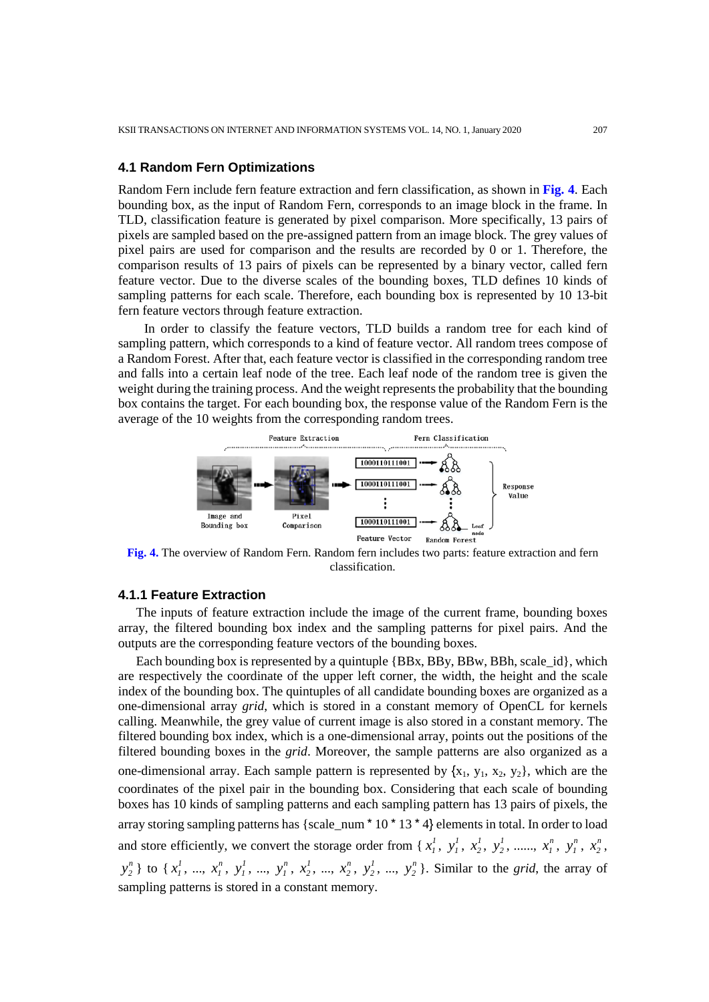## **4.1 Random Fern Optimizations**

Random Fern include fern feature extraction and fern classification, as shown in **Fig. 4**. Each bounding box, as the input of Random Fern, corresponds to an image block in the frame. In TLD, classification feature is generated by pixel comparison. More specifically, 13 pairs of pixels are sampled based on the pre-assigned pattern from an image block. The grey values of pixel pairs are used for comparison and the results are recorded by 0 or 1. Therefore, the comparison results of 13 pairs of pixels can be represented by a binary vector, called fern feature vector. Due to the diverse scales of the bounding boxes, TLD defines 10 kinds of sampling patterns for each scale. Therefore, each bounding box is represented by 10 13-bit fern feature vectors through feature extraction.

In order to classify the feature vectors, TLD builds a random tree for each kind of sampling pattern, which corresponds to a kind of feature vector. All random trees compose of a Random Forest. After that, each feature vector is classified in the corresponding random tree and falls into a certain leaf node of the tree. Each leaf node of the random tree is given the weight during the training process. And the weight represents the probability that the bounding box contains the target. For each bounding box, the response value of the Random Fern is the average of the 10 weights from the corresponding random trees.



**Fig. 4.** The overview of Random Fern. Random fern includes two parts: feature extraction and fern classification.

# **4.1.1 Feature Extraction**

The inputs of feature extraction include the image of the current frame, bounding boxes array, the filtered bounding box index and the sampling patterns for pixel pairs. And the outputs are the corresponding feature vectors of the bounding boxes.

Each bounding box is represented by a quintuple  ${BBx, BBy, BBw, BBh, scale id}$ , which are respectively the coordinate of the upper left corner, the width, the height and the scale index of the bounding box. The quintuples of all candidate bounding boxes are organized as a one-dimensional array *grid*, which is stored in a constant memory of OpenCL for kernels calling. Meanwhile, the grey value of current image is also stored in a constant memory. The filtered bounding box index, which is a one-dimensional array, points out the positions of the filtered bounding boxes in the *grid*. Moreover, the sample patterns are also organized as a one-dimensional array. Each sample pattern is represented by  $\{x_1, y_1, x_2, y_2\}$ , which are the coordinates of the pixel pair in the bounding box. Considering that each scale of bounding boxes has 10 kinds of sampling patterns and each sampling pattern has 13 pairs of pixels, the array storing sampling patterns has {scale\_num  $*$  10  $*$  13  $*$  4} elements in total. In order to load and store efficiently, we convert the storage order from { $x_1^1$ ,  $y_1^1$ ,  $x_2^1$ ,  $y_2^1$ , .....,  $x_1^n$ ,  $y_1^n$ ,  $x_2^n$ ,  $y_2^n$  } to {  $x_1^1$ , ...,  $x_1^n$ ,  $y_1^1$ , ...,  $y_1^n$ ,  $x_2^1$ , ...,  $x_2^n$ ,  $y_2^1$ , ...,  $y_2^n$  }. Similar to the *grid*, the array of sampling patterns is stored in a constant memory.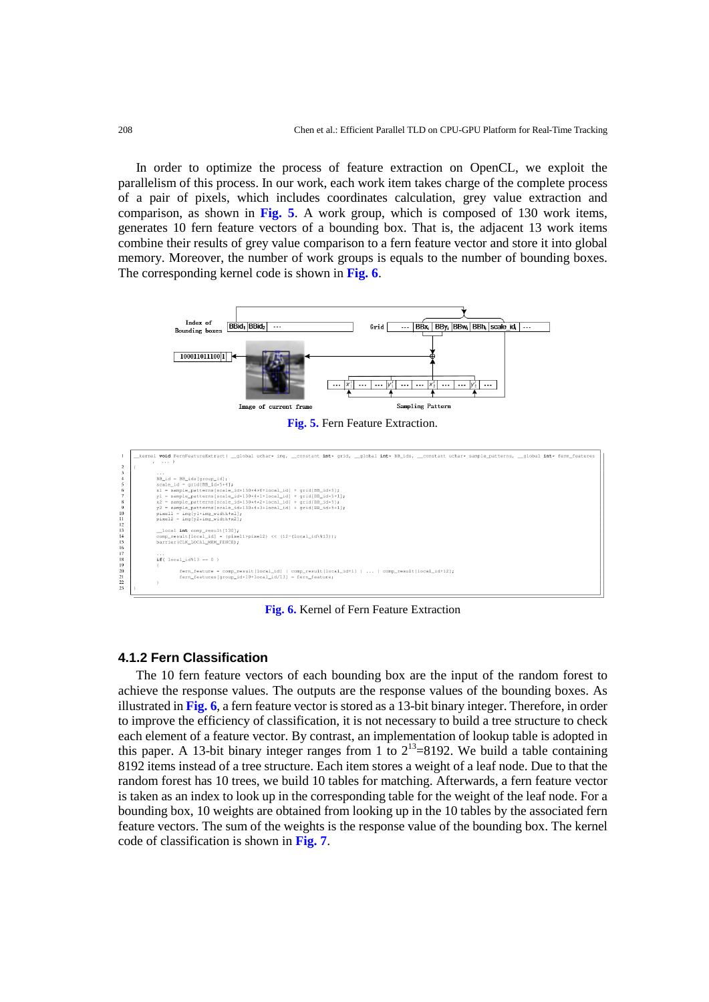In order to optimize the process of feature extraction on OpenCL, we exploit the parallelism of this process. In our work, each work item takes charge of the complete process of a pair of pixels, which includes coordinates calculation, grey value extraction and comparison, as shown in **Fig. 5**. A work group, which is composed of 130 work items, generates 10 fern feature vectors of a bounding box. That is, the adjacent 13 work items combine their results of grey value comparison to a fern feature vector and store it into global memory. Moreover, the number of work groups is equals to the number of bounding boxes. The corresponding kernel code is shown in **Fig. 6**.



**Fig. 6.** Kernel of Fern Feature Extraction

#### **4.1.2 Fern Classification**

The 10 fern feature vectors of each bounding box are the input of the random forest to achieve the response values. The outputs are the response values of the bounding boxes. As illustrated in **Fig. 6**, a fern feature vector is stored as a 13-bit binary integer. Therefore, in order to improve the efficiency of classification, it is not necessary to build a tree structure to check each element of a feature vector. By contrast, an implementation of lookup table is adopted in this paper. A 13-bit binary integer ranges from 1 to  $2^{13}$ =8192. We build a table containing 8192 items instead of a tree structure. Each item stores a weight of a leaf node. Due to that the random forest has 10 trees, we build 10 tables for matching. Afterwards, a fern feature vector is taken as an index to look up in the corresponding table for the weight of the leaf node. For a bounding box, 10 weights are obtained from looking up in the 10 tables by the associated fern feature vectors. The sum of the weights is the response value of the bounding box. The kernel code of classification is shown in **Fig. 7**.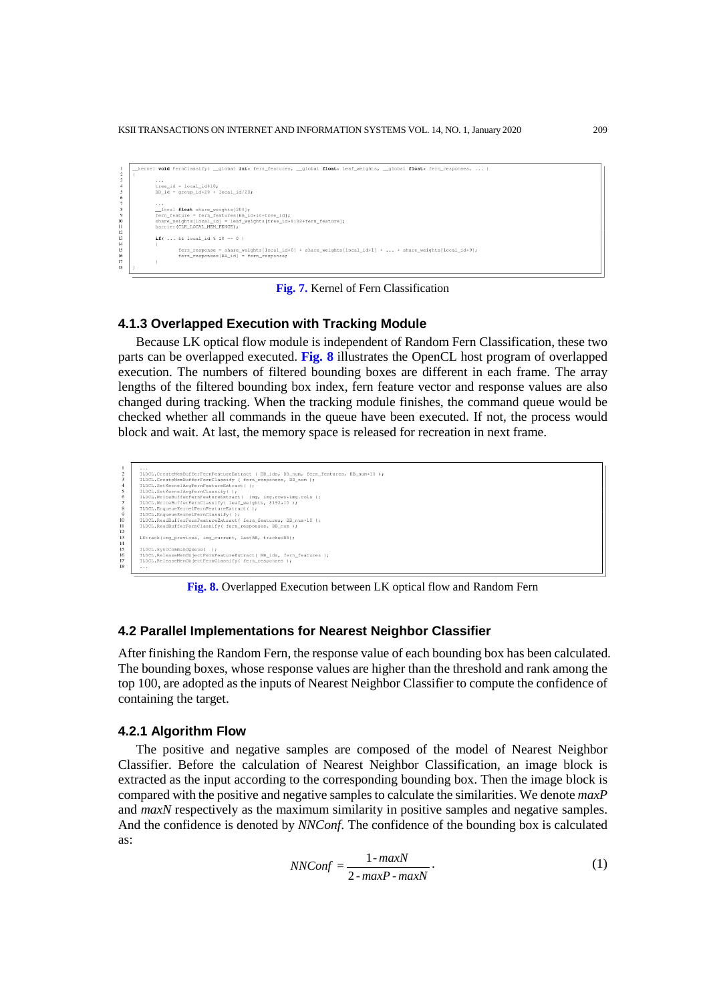KSII TRANSACTIONS ON INTERNET AND INFORMATION SYSTEMS VOL. 14, NO. 1, January 2020 209



**Fig. 7.** Kernel of Fern Classification

#### **4.1.3 Overlapped Execution with Tracking Module**

Because LK optical flow module is independent of Random Fern Classification, these two parts can be overlapped executed. **Fig. 8** illustrates the OpenCL host program of overlapped execution. The numbers of filtered bounding boxes are different in each frame. The array lengths of the filtered bounding box index, fern feature vector and response values are also changed during tracking. When the tracking module finishes, the command queue would be checked whether all commands in the queue have been executed. If not, the process would block and wait. At last, the memory space is released for recreation in next frame.

```
..<br>"DCL.CreateMemBufferFernFeatureExtract ( BB_ids, BB_num, fern_features, BB_num*10 );<br>"DCL.CreateMemBufferFernClassify ( fern_responses, BB_num );
             TLDCL.CreateMembufferFernClassify (fern_responses, BB_num );<br>TLDCL.SetKernelArgFernFeatureExtract ();<br>TLDCL.SetKernelArgFernClassify();<br>TLDCL.SetKernelArgFernClassify();<br>TLDCL.WriteBufferFernClassify(leaf_weights, 8192+10)
11<br>12<br>13<br>14
              \verb|LKtrack(img\_previous, img\_current, lastBB, trackedBB)|| \\TLDCL.SyncCommandQueue( );<br>TLDCL.ReleaseMemObjectFernFeatureExtract( BB_ids, fern_features );<br>TLDCL.ReleaseMemObjectFernClassify( fern_responses );
```
**Fig. 8.** Overlapped Execution between LK optical flow and Random Fern

## **4.2 Parallel Implementations for Nearest Neighbor Classifier**

After finishing the Random Fern, the response value of each bounding box has been calculated. The bounding boxes, whose response values are higher than the threshold and rank among the top 100, are adopted as the inputs of Nearest Neighbor Classifier to compute the confidence of containing the target.

#### **4.2.1 Algorithm Flow**

The positive and negative samples are composed of the model of Nearest Neighbor Classifier. Before the calculation of Nearest Neighbor Classification, an image block is extracted as the input according to the corresponding bounding box. Then the image block is compared with the positive and negative samples to calculate the similarities. We denote *maxP* and *maxN* respectively as the maximum similarity in positive samples and negative samples. And the confidence is denoted by *NNConf*. The confidence of the bounding box is calculated as:

$$
NNConf = \frac{1 - maxN}{2 - maxP - maxN} \tag{1}
$$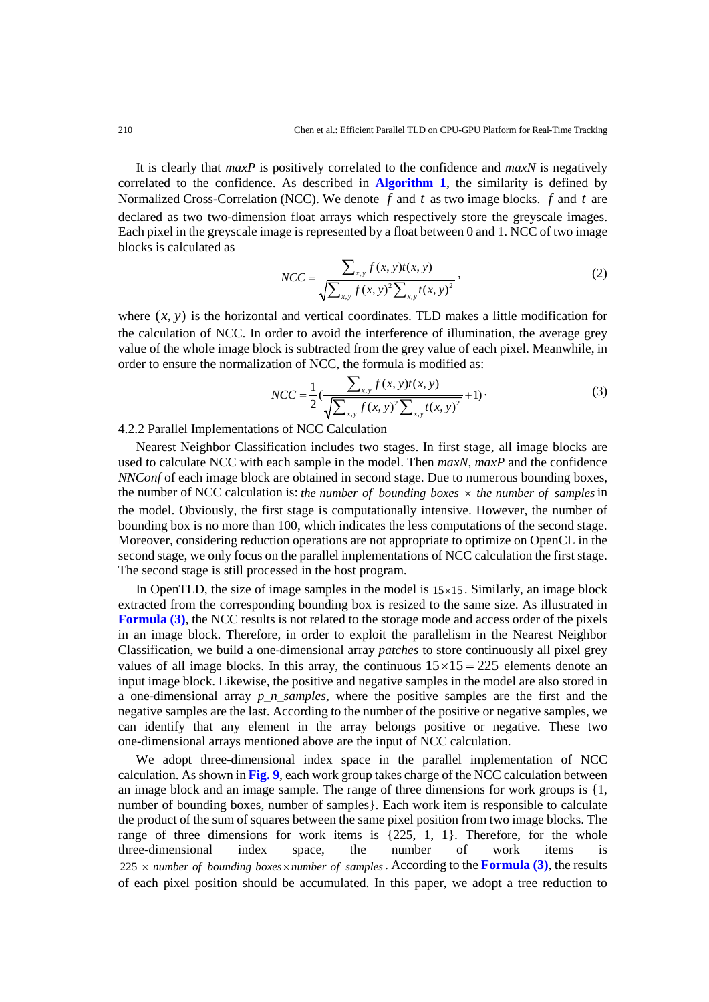It is clearly that *maxP* is positively correlated to the confidence and *maxN* is negatively correlated to the confidence. As described in **Algorithm 1**, the similarity is defined by Normalized Cross-Correlation (NCC). We denote *f* and *t* as two image blocks. *f* and *t* are declared as two two-dimension float arrays which respectively store the greyscale images. Each pixel in the greyscale image is represented by a float between 0 and 1. NCC of two image blocks is calculated as

$$
NCC = \frac{\sum_{x,y} f(x,y)t(x,y)}{\sqrt{\sum_{x,y} f(x,y)^{2} \sum_{x,y} t(x,y)^{2}}},
$$
\n(2)

where  $(x, y)$  is the horizontal and vertical coordinates. TLD makes a little modification for the calculation of NCC. In order to avoid the interference of illumination, the average grey value of the whole image block is subtracted from the grey value of each pixel. Meanwhile, in order to ensure the normalization of NCC, the formula is modified as:

$$
NCC = \frac{1}{2} \left( \frac{\sum_{x,y} f(x,y)t(x,y)}{\sqrt{\sum_{x,y} f(x,y)^{2} \sum_{x,y} t(x,y)^{2}}} + 1 \right).
$$
 (3)

4.2.2 Parallel Implementations of NCC Calculation

Nearest Neighbor Classification includes two stages. In first stage, all image blocks are used to calculate NCC with each sample in the model. Then *maxN*, *maxP* and the confidence *NNConf* of each image block are obtained in second stage. Due to numerous bounding boxes, the number of NCC calculation is: *the number of bounding boxes*  $\times$  *the number of samples* in the model. Obviously, the first stage is computationally intensive. However, the number of bounding box is no more than 100, which indicates the less computations of the second stage. Moreover, considering reduction operations are not appropriate to optimize on OpenCL in the second stage, we only focus on the parallel implementations of NCC calculation the first stage. The second stage is still processed in the host program.

In OpenTLD, the size of image samples in the model is  $15 \times 15$ . Similarly, an image block extracted from the corresponding bounding box is resized to the same size. As illustrated in **Formula (3)**, the NCC results is not related to the storage mode and access order of the pixels in an image block. Therefore, in order to exploit the parallelism in the Nearest Neighbor Classification, we build a one-dimensional array *patches* to store continuously all pixel grey values of all image blocks. In this array, the continuous  $15 \times 15 = 225$  elements denote an input image block. Likewise, the positive and negative samples in the model are also stored in a one-dimensional array *p\_n\_samples*, where the positive samples are the first and the negative samples are the last. According to the number of the positive or negative samples, we can identify that any element in the array belongs positive or negative. These two one-dimensional arrays mentioned above are the input of NCC calculation.

We adopt three-dimensional index space in the parallel implementation of NCC calculation. As shown in **Fig. 9**, each work group takes charge of the NCC calculation between an image block and an image sample. The range of three dimensions for work groups is {1, number of bounding boxes, number of samples}. Each work item is responsible to calculate the product of the sum of squares between the same pixel position from two image blocks. The range of three dimensions for work items is  $\{225, 1, 1\}$ . Therefore, for the whole three-dimensional index space, the number of work items is  $225 \times$  *number of bounding boxes*  $\times$  *number of samples*. According to the **Formula (3)**, the results of each pixel position should be accumulated. In this paper, we adopt a tree reduction to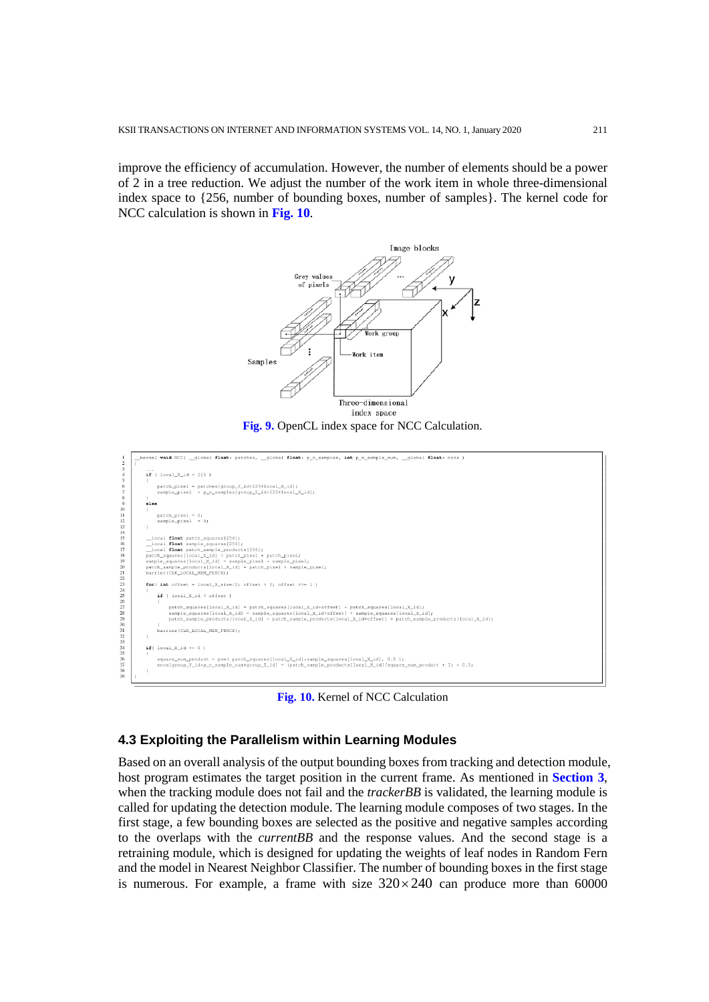improve the efficiency of accumulation. However, the number of elements should be a power of 2 in a tree reduction. We adjust the number of the work item in whole three-dimensional index space to {256, number of bounding boxes, number of samples}. The kernel code for NCC calculation is shown in **Fig. 10**.



**Fig. 9.** OpenCL index space for NCC Calculation.



**Fig. 10.** Kernel of NCC Calculation

# **4.3 Exploiting the Parallelism within Learning Modules**

Based on an overall analysis of the output bounding boxes from tracking and detection module, host program estimates the target position in the current frame. As mentioned in **Section 3**, when the tracking module does not fail and the *trackerBB* is validated, the learning module is called for updating the detection module. The learning module composes of two stages. In the first stage, a few bounding boxes are selected as the positive and negative samples according to the overlaps with the *currentBB* and the response values. And the second stage is a retraining module, which is designed for updating the weights of leaf nodes in Random Fern and the model in Nearest Neighbor Classifier. The number of bounding boxes in the first stage is numerous. For example, a frame with size  $320 \times 240$  can produce more than 60000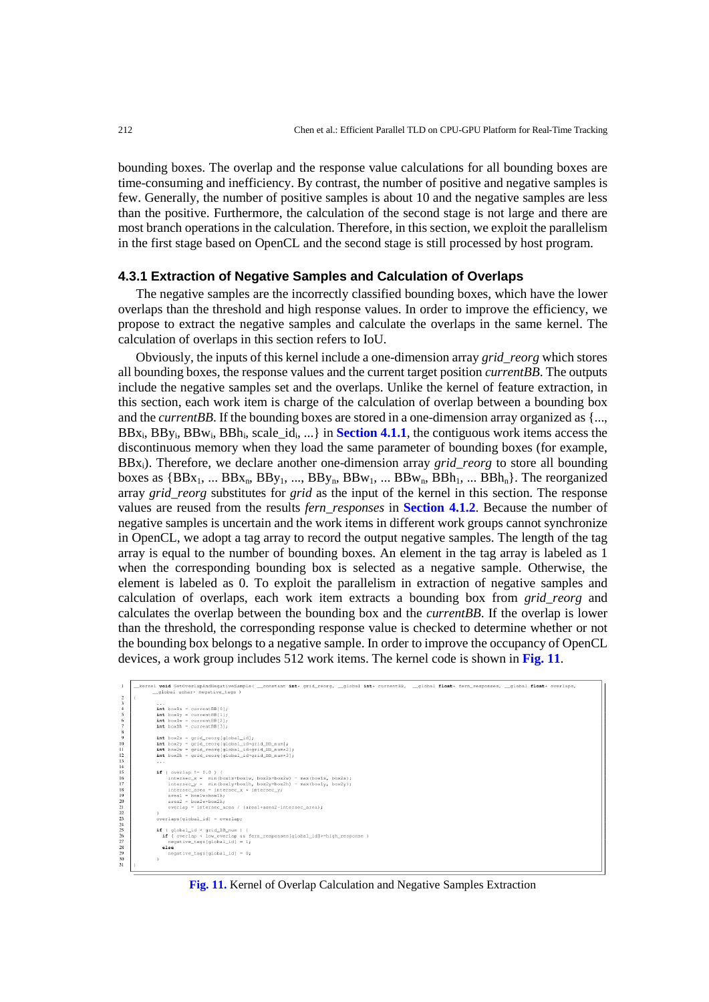bounding boxes. The overlap and the response value calculations for all bounding boxes are time-consuming and inefficiency. By contrast, the number of positive and negative samples is few. Generally, the number of positive samples is about 10 and the negative samples are less than the positive. Furthermore, the calculation of the second stage is not large and there are most branch operations in the calculation. Therefore, in this section, we exploit the parallelism in the first stage based on OpenCL and the second stage is still processed by host program.

#### **4.3.1 Extraction of Negative Samples and Calculation of Overlaps**

The negative samples are the incorrectly classified bounding boxes, which have the lower overlaps than the threshold and high response values. In order to improve the efficiency, we propose to extract the negative samples and calculate the overlaps in the same kernel. The calculation of overlaps in this section refers to IoU.

Obviously, the inputs of this kernel include a one-dimension array *grid\_reorg* which stores all bounding boxes, the response values and the current target position *currentBB*. The outputs include the negative samples set and the overlaps. Unlike the kernel of feature extraction, in this section, each work item is charge of the calculation of overlap between a bounding box and the *currentBB*. If the bounding boxes are stored in a one-dimension array organized as {...,  $BBx_i$ ,  $BBy_i$ ,  $BBw_i$ ,  $BBh_i$ ,  $scale_id_i$ , ...} in **Section 4.1.1**, the contiguous work items access the discontinuous memory when they load the same parameter of bounding boxes (for example, BBxi). Therefore, we declare another one-dimension array *grid\_reorg* to store all bounding boxes as  ${BBx_1, \ldots BBx_n, BBy_1, \ldots, BBy_n, BBw_1, \ldots BBw_n, BBh_1, \ldots BBh_n}.$  The reorganized array *grid\_reorg* substitutes for *grid* as the input of the kernel in this section. The response values are reused from the results *fern\_responses* in **Section 4.1.2**. Because the number of negative samples is uncertain and the work items in different work groups cannot synchronize in OpenCL, we adopt a tag array to record the output negative samples. The length of the tag array is equal to the number of bounding boxes. An element in the tag array is labeled as 1 when the corresponding bounding box is selected as a negative sample. Otherwise, the element is labeled as 0. To exploit the parallelism in extraction of negative samples and calculation of overlaps, each work item extracts a bounding box from *grid\_reorg* and calculates the overlap between the bounding box and the *currentBB*. If the overlap is lower than the threshold, the corresponding response value is checked to determine whether or not the bounding box belongs to a negative sample. In order to improve the occupancy of OpenCL devices, a work group includes 512 work items. The kernel code is shown in **Fig. 11**.

| kernel void GetOverlapAndNeqativeSample( _constant int* qrid_reorq, _qlobal int* currentBB, _qlobal float* fern_responses, _qlobal float* overlaps, |
|-----------------------------------------------------------------------------------------------------------------------------------------------------|
| global uchar* negative_tags )                                                                                                                       |
|                                                                                                                                                     |
| $\cdots$                                                                                                                                            |
| $int box1x = currentBB[0];$                                                                                                                         |
| $\text{int}$ boxly = currentBB[1];                                                                                                                  |
| $int$ boxlw = currentBB[2];                                                                                                                         |
| $int$ boxlh = currentBB[3];                                                                                                                         |
|                                                                                                                                                     |
| $int box2x = grid\_reorg[qlobal_id];$                                                                                                               |
| $int box2y = grid\_reorg[global_id+grid_BB_num];$                                                                                                   |
| $int box2w = grid record[global id+grid BBnum*2];$                                                                                                  |
| $int box2h = grid record[global id+grid BBnum*3];$                                                                                                  |
| $\cdots$                                                                                                                                            |
| if ( overlap $!=0.0$ ) (                                                                                                                            |
| intersec $x = min(box1x+box1w, box2x+box2w) - max(box1x, box2x)$ ;                                                                                  |
| intersec_v = min(boxly+boxlh, box2y+box2h) - max(boxly, box2y);                                                                                     |
| intersec_area = intersec_x * intersec_v;                                                                                                            |
| $area1 = box1w * box1h$                                                                                                                             |
| $area2 = box2w * box2h$                                                                                                                             |
| overlap = intersec_area / (areal+area2-intersec_area);                                                                                              |
|                                                                                                                                                     |
| overlaps[qlobal_id] = overlap;                                                                                                                      |
|                                                                                                                                                     |
| if ( $qlobal$ id < $qrid$ BB $num$ ) {                                                                                                              |
| if ( overlap < low overlap && fern responses [qlobal id]>=high response )                                                                           |
| $neqative\ tags[global_id] = 1;$                                                                                                                    |
| else<br>$neqative\ tags[global_id] = 0;$                                                                                                            |
|                                                                                                                                                     |
|                                                                                                                                                     |
|                                                                                                                                                     |

**Fig. 11.** Kernel of Overlap Calculation and Negative Samples Extraction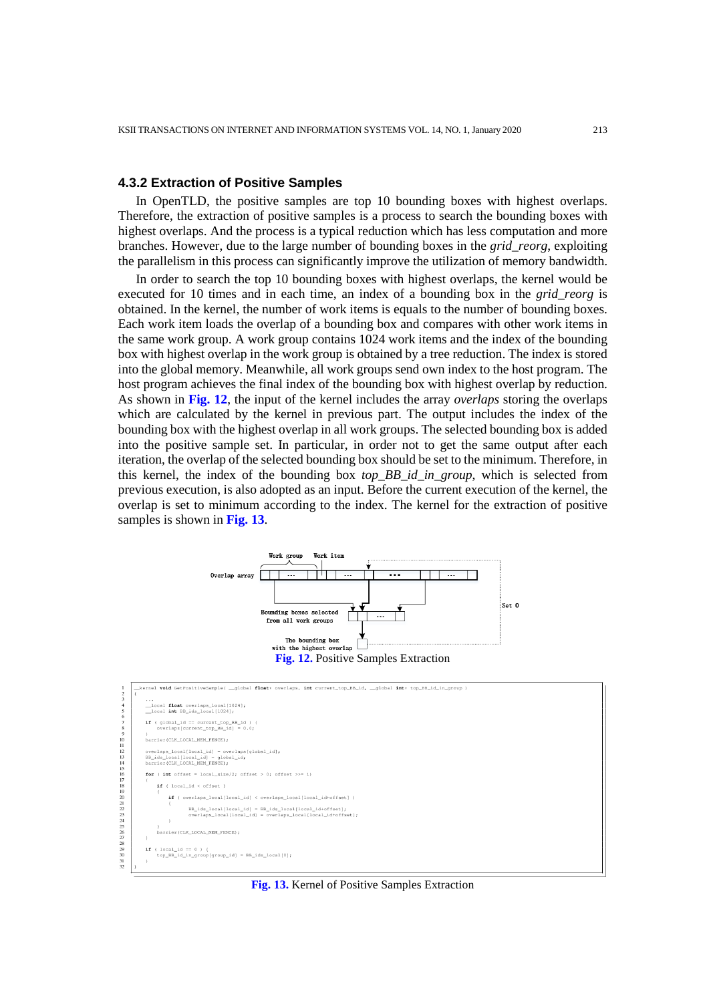## **4.3.2 Extraction of Positive Samples**

In OpenTLD, the positive samples are top 10 bounding boxes with highest overlaps. Therefore, the extraction of positive samples is a process to search the bounding boxes with highest overlaps. And the process is a typical reduction which has less computation and more branches. However, due to the large number of bounding boxes in the *grid\_reorg*, exploiting the parallelism in this process can significantly improve the utilization of memory bandwidth.

In order to search the top 10 bounding boxes with highest overlaps, the kernel would be executed for 10 times and in each time, an index of a bounding box in the *grid\_reorg* is obtained. In the kernel, the number of work items is equals to the number of bounding boxes. Each work item loads the overlap of a bounding box and compares with other work items in the same work group. A work group contains 1024 work items and the index of the bounding box with highest overlap in the work group is obtained by a tree reduction. The index is stored into the global memory. Meanwhile, all work groups send own index to the host program. The host program achieves the final index of the bounding box with highest overlap by reduction. As shown in **Fig. 12**, the input of the kernel includes the array *overlaps* storing the overlaps which are calculated by the kernel in previous part. The output includes the index of the bounding box with the highest overlap in all work groups. The selected bounding box is added into the positive sample set. In particular, in order not to get the same output after each iteration, the overlap of the selected bounding box should be set to the minimum. Therefore, in this kernel, the index of the bounding box *top\_BB\_id\_in\_group*, which is selected from previous execution, is also adopted as an input. Before the current execution of the kernel, the overlap is set to minimum according to the index. The kernel for the extraction of positive samples is shown in **Fig. 13**.





**Fig. 13.** Kernel of Positive Samples Extraction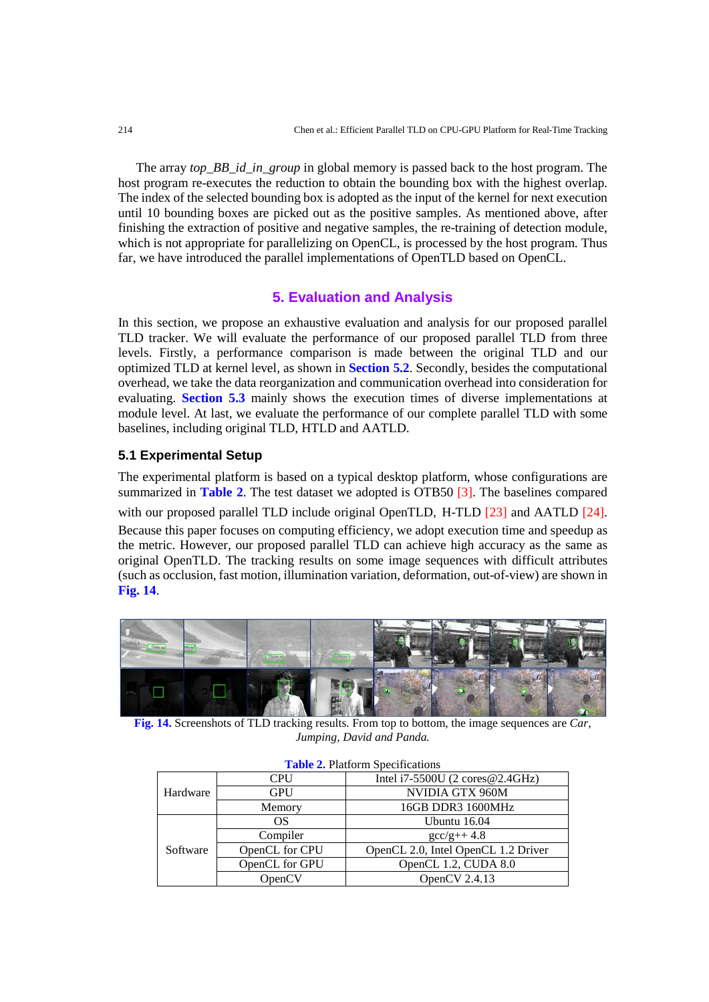The array *top\_BB\_id\_in\_group* in global memory is passed back to the host program. The host program re-executes the reduction to obtain the bounding box with the highest overlap. The index of the selected bounding box is adopted as the input of the kernel for next execution until 10 bounding boxes are picked out as the positive samples. As mentioned above, after finishing the extraction of positive and negative samples, the re-training of detection module, which is not appropriate for parallelizing on OpenCL, is processed by the host program. Thus far, we have introduced the parallel implementations of OpenTLD based on OpenCL.

# **5. Evaluation and Analysis**

In this section, we propose an exhaustive evaluation and analysis for our proposed parallel TLD tracker. We will evaluate the performance of our proposed parallel TLD from three levels. Firstly, a performance comparison is made between the original TLD and our optimized TLD at kernel level, as shown in **Section 5.2**. Secondly, besides the computational overhead, we take the data reorganization and communication overhead into consideration for evaluating. **Section 5.3** mainly shows the execution times of diverse implementations at module level. At last, we evaluate the performance of our complete parallel TLD with some baselines, including original TLD, HTLD and AATLD.

#### **5.1 Experimental Setup**

The experimental platform is based on a typical desktop platform, whose configurations are summarized in **Table 2**. The test dataset we adopted is OTB50 [3]. The baselines compared with our proposed parallel TLD include original OpenTLD, H-TLD [23] and AATLD [24]. Because this paper focuses on computing efficiency, we adopt execution time and speedup as the metric. However, our proposed parallel TLD can achieve high accuracy as the same as original OpenTLD. The tracking results on some image sequences with difficult attributes (such as occlusion, fast motion, illumination variation, deformation, out-of-view) are shown in **Fig. 14**.



**Fig. 14.** Screenshots of TLD tracking results. From top to bottom, the image sequences are *Car, Jumping, David and Panda.*

| $\frac{1}{2}$ and $\frac{2}{3}$ , i rationing preceditions |                |                                                    |  |  |  |
|------------------------------------------------------------|----------------|----------------------------------------------------|--|--|--|
|                                                            | <b>CPU</b>     | Intel $i7-5500U(2 \text{ cores} @ 2.4 \text{GHz})$ |  |  |  |
| Hardware                                                   | <b>GPU</b>     | NVIDIA GTX 960M                                    |  |  |  |
|                                                            | Memory         | 16GB DDR3 1600MHz                                  |  |  |  |
|                                                            | OS             | Ubuntu 16.04                                       |  |  |  |
|                                                            | Compiler       | $\frac{gc}{g++4.8}$                                |  |  |  |
| Software                                                   | OpenCL for CPU | OpenCL 2.0, Intel OpenCL 1.2 Driver                |  |  |  |
|                                                            | OpenCL for GPU | OpenCL 1.2, CUDA 8.0                               |  |  |  |
|                                                            | OpenCV         | OpenCV $2.4.13$                                    |  |  |  |

#### **Table 2.** Platform Specifications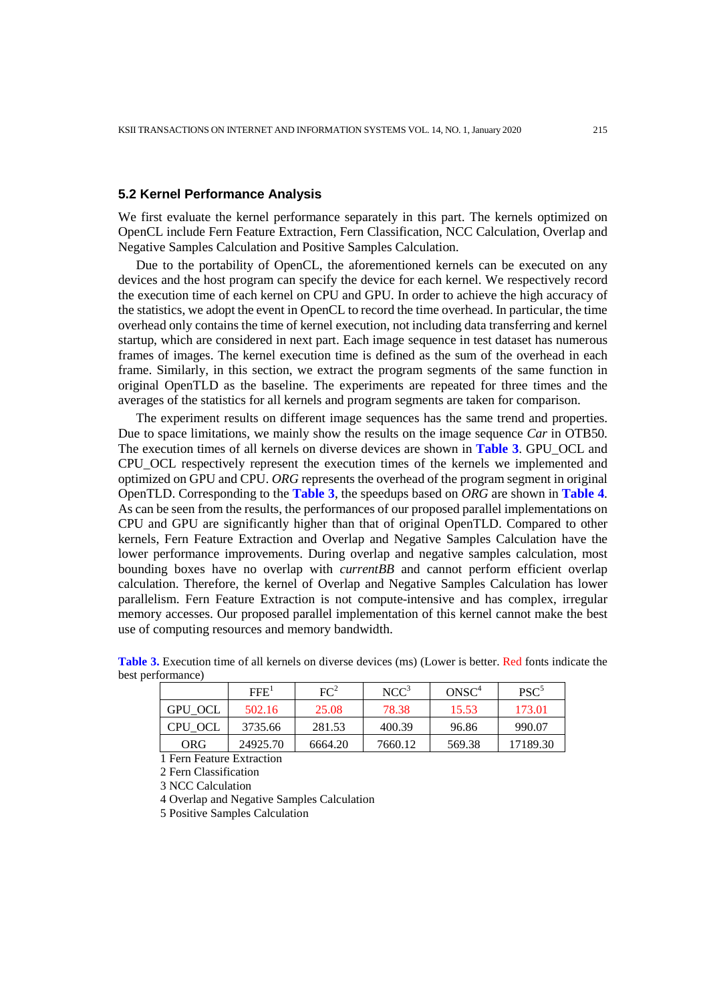# **5.2 Kernel Performance Analysis**

We first evaluate the kernel performance separately in this part. The kernels optimized on OpenCL include Fern Feature Extraction, Fern Classification, NCC Calculation, Overlap and Negative Samples Calculation and Positive Samples Calculation.

Due to the portability of OpenCL, the aforementioned kernels can be executed on any devices and the host program can specify the device for each kernel. We respectively record the execution time of each kernel on CPU and GPU. In order to achieve the high accuracy of the statistics, we adopt the event in OpenCL to record the time overhead. In particular, the time overhead only contains the time of kernel execution, not including data transferring and kernel startup, which are considered in next part. Each image sequence in test dataset has numerous frames of images. The kernel execution time is defined as the sum of the overhead in each frame. Similarly, in this section, we extract the program segments of the same function in original OpenTLD as the baseline. The experiments are repeated for three times and the averages of the statistics for all kernels and program segments are taken for comparison.

The experiment results on different image sequences has the same trend and properties. Due to space limitations, we mainly show the results on the image sequence *Car* in OTB50. The execution times of all kernels on diverse devices are shown in **Table 3**. GPU\_OCL and CPU\_OCL respectively represent the execution times of the kernels we implemented and optimized on GPU and CPU. *ORG* represents the overhead of the program segment in original OpenTLD. Corresponding to the **Table 3**, the speedups based on *ORG* are shown in **Table 4**. As can be seen from the results, the performances of our proposed parallel implementations on CPU and GPU are significantly higher than that of original OpenTLD. Compared to other kernels, Fern Feature Extraction and Overlap and Negative Samples Calculation have the lower performance improvements. During overlap and negative samples calculation, most bounding boxes have no overlap with *currentBB* and cannot perform efficient overlap calculation. Therefore, the kernel of Overlap and Negative Samples Calculation has lower parallelism. Fern Feature Extraction is not compute-intensive and has complex, irregular memory accesses. Our proposed parallel implementation of this kernel cannot make the best use of computing resources and memory bandwidth.

|         | FFE <sup>1</sup> | FC <sup>2</sup> | $NCC^3$ | ONSC <sup>4</sup> | $PSC^5$  |
|---------|------------------|-----------------|---------|-------------------|----------|
| GPU OCL | 502.16           | 25.08           | 78.38   | 15.53             | 173.01   |
| CPU OCL | 3735.66          | 281.53          | 400.39  | 96.86             | 990.07   |
| ORG     | 24925.70         | 6664.20         | 7660.12 | 569.38            | 17189.30 |

**Table 3.** Execution time of all kernels on diverse devices (ms) (Lower is better. Red fonts indicate the best performance)

1 Fern Feature Extraction

2 Fern Classification

3 NCC Calculation

4 Overlap and Negative Samples Calculation

5 Positive Samples Calculation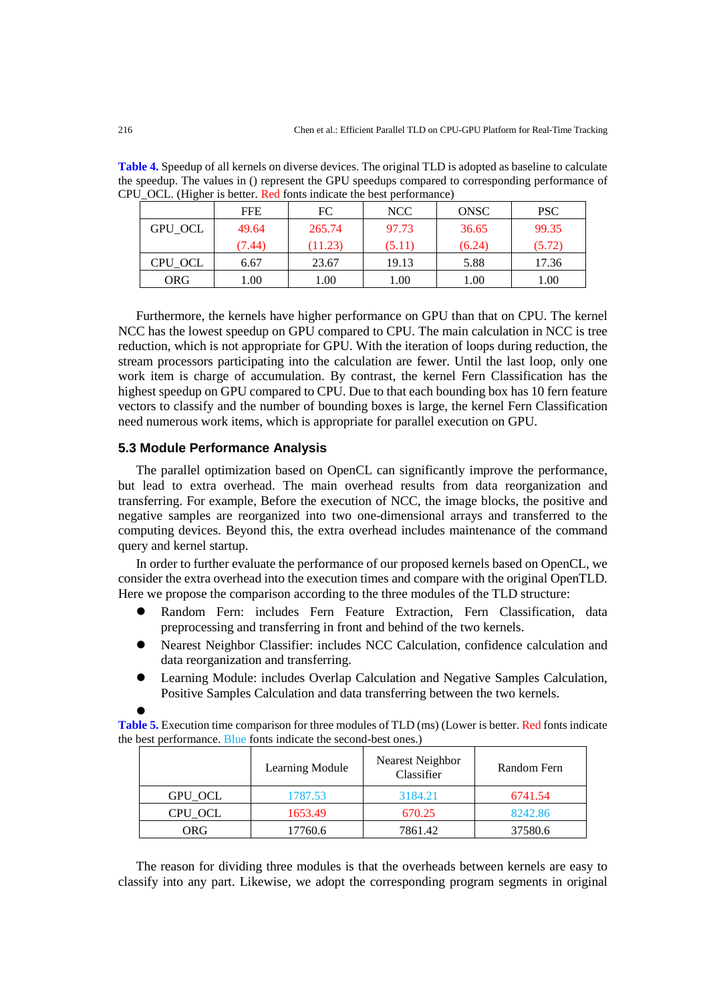**Table 4.** Speedup of all kernels on diverse devices. The original TLD is adopted as baseline to calculate the speedup. The values in () represent the GPU speedups compared to corresponding performance of CPU OCL. (Higher is better. Red fonts indicate the best performance)

|         | <b>FFE</b> | FC      | NCC    | ONSC   | <b>PSC</b> |
|---------|------------|---------|--------|--------|------------|
| GPU OCL | 49.64      | 265.74  | 97.73  | 36.65  | 99.35      |
|         | (7.44)     | (11.23) | (5.11) | (6.24) | (5.72)     |
| CPU_OCL | 6.67       | 23.67   | 19.13  | 5.88   | 17.36      |
| ORG     | .00.       | l.00    | 1.00   | 00.1   | 1.00       |

Furthermore, the kernels have higher performance on GPU than that on CPU. The kernel NCC has the lowest speedup on GPU compared to CPU. The main calculation in NCC is tree reduction, which is not appropriate for GPU. With the iteration of loops during reduction, the stream processors participating into the calculation are fewer. Until the last loop, only one work item is charge of accumulation. By contrast, the kernel Fern Classification has the highest speedup on GPU compared to CPU. Due to that each bounding box has 10 fern feature vectors to classify and the number of bounding boxes is large, the kernel Fern Classification need numerous work items, which is appropriate for parallel execution on GPU.

## **5.3 Module Performance Analysis**

The parallel optimization based on OpenCL can significantly improve the performance, but lead to extra overhead. The main overhead results from data reorganization and transferring. For example, Before the execution of NCC, the image blocks, the positive and negative samples are reorganized into two one-dimensional arrays and transferred to the computing devices. Beyond this, the extra overhead includes maintenance of the command query and kernel startup.

In order to further evaluate the performance of our proposed kernels based on OpenCL, we consider the extra overhead into the execution times and compare with the original OpenTLD. Here we propose the comparison according to the three modules of the TLD structure:

- Random Fern: includes Fern Feature Extraction, Fern Classification, data preprocessing and transferring in front and behind of the two kernels.
- Nearest Neighbor Classifier: includes NCC Calculation, confidence calculation and data reorganization and transferring.
- Learning Module: includes Overlap Calculation and Negative Samples Calculation, Positive Samples Calculation and data transferring between the two kernels.

**Table 5.** Execution time comparison for three modules of TLD (ms) (Lower is better. Red fonts indicate the best performance. Blue fonts indicate the second-best ones.)

|         | Learning Module | Nearest Neighbor<br>Classifier | Random Fern |
|---------|-----------------|--------------------------------|-------------|
| GPU OCL | 1787.53         | 3184.21                        | 6741.54     |
| CPU OCL | 1653.49         | 670.25                         | 8242.86     |
| ORG     | 17760.6         | 7861.42                        | 37580.6     |

The reason for dividing three modules is that the overheads between kernels are easy to classify into any part. Likewise, we adopt the corresponding program segments in original

 $\bullet$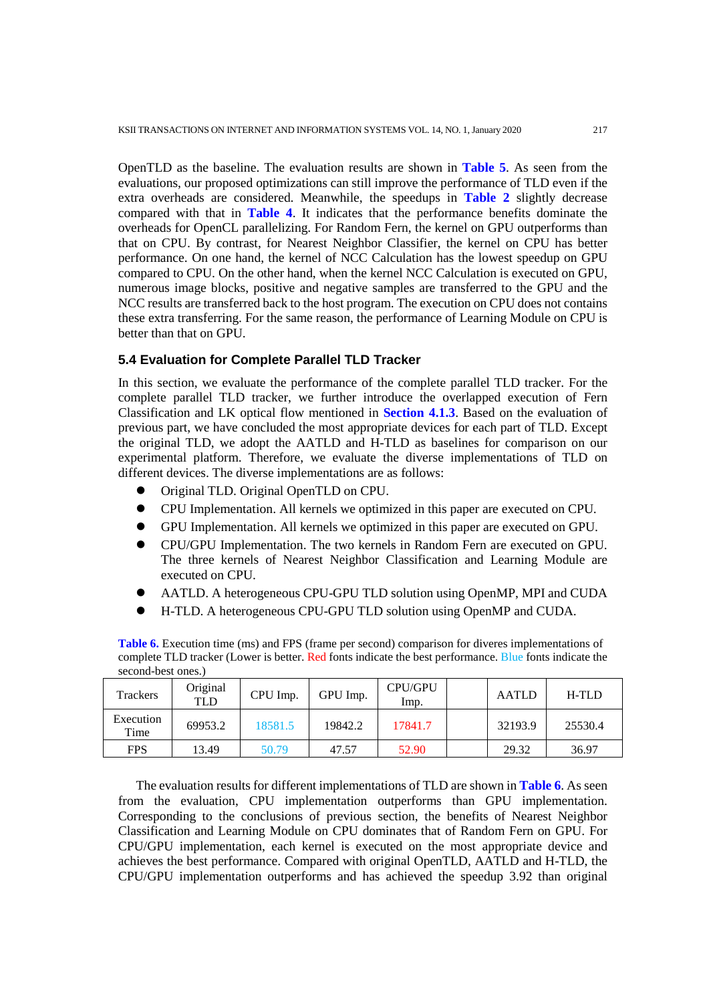OpenTLD as the baseline. The evaluation results are shown in **Table 5**. As seen from the evaluations, our proposed optimizations can still improve the performance of TLD even if the extra overheads are considered. Meanwhile, the speedups in **Table 2** slightly decrease compared with that in **Table 4**. It indicates that the performance benefits dominate the overheads for OpenCL parallelizing. For Random Fern, the kernel on GPU outperforms than that on CPU. By contrast, for Nearest Neighbor Classifier, the kernel on CPU has better performance. On one hand, the kernel of NCC Calculation has the lowest speedup on GPU compared to CPU. On the other hand, when the kernel NCC Calculation is executed on GPU, numerous image blocks, positive and negative samples are transferred to the GPU and the NCC results are transferred back to the host program. The execution on CPU does not contains these extra transferring. For the same reason, the performance of Learning Module on CPU is better than that on GPU.

## **5.4 Evaluation for Complete Parallel TLD Tracker**

In this section, we evaluate the performance of the complete parallel TLD tracker. For the complete parallel TLD tracker, we further introduce the overlapped execution of Fern Classification and LK optical flow mentioned in **Section 4.1.3**. Based on the evaluation of previous part, we have concluded the most appropriate devices for each part of TLD. Except the original TLD, we adopt the AATLD and H-TLD as baselines for comparison on our experimental platform. Therefore, we evaluate the diverse implementations of TLD on different devices. The diverse implementations are as follows:

- Original TLD. Original OpenTLD on CPU.
- CPU Implementation. All kernels we optimized in this paper are executed on CPU.
- GPU Implementation. All kernels we optimized in this paper are executed on GPU.
- CPU/GPU Implementation. The two kernels in Random Fern are executed on GPU. The three kernels of Nearest Neighbor Classification and Learning Module are executed on CPU.
- AATLD. A heterogeneous CPU-GPU TLD solution using OpenMP, MPI and CUDA
- H-TLD. A heterogeneous CPU-GPU TLD solution using OpenMP and CUDA.

Trackers Original riginal CPU Imp. GPU Imp. CPU/GPU<br>TLD [ CPU Imp. CPU/GPU | AATLD | H-TLD Execution Time 69953.2 18581.5 19842.2 17841.7 32193.9 25530.4 FPS | 13.49 | 50.79 | 47.57 | 52.90 | | 29.32 | 36.97

**Table 6.** Execution time (ms) and FPS (frame per second) comparison for diveres implementations of complete TLD tracker (Lower is better. Red fonts indicate the best performance. Blue fonts indicate the second-best ones.)

The evaluation results for different implementations of TLD are shown in **Table 6**. As seen from the evaluation, CPU implementation outperforms than GPU implementation. Corresponding to the conclusions of previous section, the benefits of Nearest Neighbor Classification and Learning Module on CPU dominates that of Random Fern on GPU. For CPU/GPU implementation, each kernel is executed on the most appropriate device and achieves the best performance. Compared with original OpenTLD, AATLD and H-TLD, the CPU/GPU implementation outperforms and has achieved the speedup 3.92 than original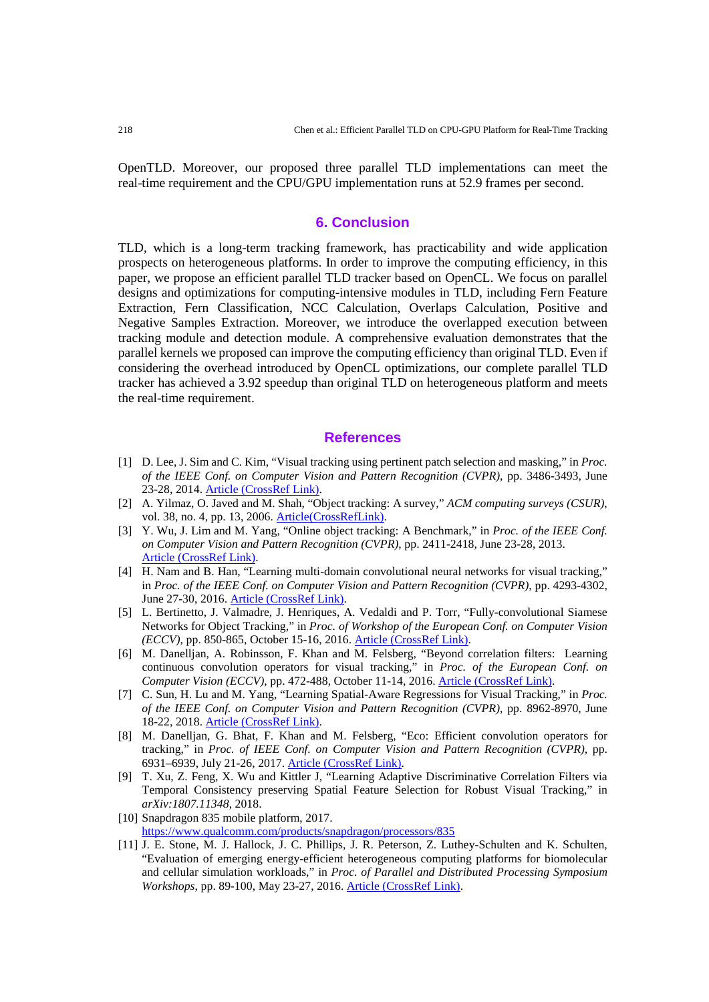OpenTLD. Moreover, our proposed three parallel TLD implementations can meet the real-time requirement and the CPU/GPU implementation runs at 52.9 frames per second.

# **6. Conclusion**

TLD, which is a long-term tracking framework, has practicability and wide application prospects on heterogeneous platforms. In order to improve the computing efficiency, in this paper, we propose an efficient parallel TLD tracker based on OpenCL. We focus on parallel designs and optimizations for computing-intensive modules in TLD, including Fern Feature Extraction, Fern Classification, NCC Calculation, Overlaps Calculation, Positive and Negative Samples Extraction. Moreover, we introduce the overlapped execution between tracking module and detection module. A comprehensive evaluation demonstrates that the parallel kernels we proposed can improve the computing efficiency than original TLD. Even if considering the overhead introduced by OpenCL optimizations, our complete parallel TLD tracker has achieved a 3.92 speedup than original TLD on heterogeneous platform and meets the real-time requirement.

## **References**

- [1] D. Lee, J. Sim and C. Kim, "Visual tracking using pertinent patch selection and masking," in *Proc. of the IEEE Conf. on Computer Vision and Pattern Recognition (CVPR)*, pp. 3486-3493, June 23-28, 2014. [Article \(CrossRef Link\).](http://dx.doi.org/doi:10.1109/cvpr.2014.446)
- [2] A. Yilmaz, O. Javed and M. Shah, "Object tracking: A survey," *ACM computing surveys (CSUR)*, vol. 38, no. 4, pp. 13, 2006. [Article\(CrossRefLink\).](http://dx.doi.org/doi:10.1145/1177352.1177355)
- [3] Y. Wu, J. Lim and M. Yang, "Online object tracking: A Benchmark," in *Proc. of the IEEE Conf. on Computer Vision and Pattern Recognition (CVPR)*, pp. 2411-2418, June 23-28, 2013. [Article \(CrossRef Link\).](http://dx.doi.org/doi:10.1109/cvpr.2013.312)
- [4] H. Nam and B. Han, "Learning multi-domain convolutional neural networks for visual tracking," in *Proc. of the IEEE Conf. on Computer Vision and Pattern Recognition (CVPR)*, pp. 4293-4302, June 27-30, 2016. [Article \(CrossRef Link\).](http://dx.doi.org/doi:10.1109/cvpr.2016.465)
- [5] L. Bertinetto, J. Valmadre, J. Henriques, A. Vedaldi and P. Torr, "Fully-convolutional Siamese Networks for Object Tracking," in *Proc. of Workshop of the European Conf. on Computer Vision (ECCV)*, pp. 850-865, October 15-16, 2016. [Article \(CrossRef Link\).](http://dx.doi.org/doi:10.1007/978-3-319-48881-3_56)
- [6] M. Danelljan, A. Robinsson, F. Khan and M. Felsberg, "Beyond correlation filters: Learning continuous convolution operators for visual tracking," in *Proc. of the European Conf. on Computer Vision (ECCV)*, pp. 472-488, October 11-14, 2016. [Article \(CrossRef Link\).](http://dx.doi.org/doi:10.1007/978-3-319-46454-1_29)
- [7] C. Sun, H. Lu and M. Yang, "Learning Spatial-Aware Regressions for Visual Tracking," in *Proc. of the IEEE Conf. on Computer Vision and Pattern Recognition (CVPR),* pp. 8962-8970, June 18-22, 2018. [Article \(CrossRef Link\).](http://dx.doi.org/doi:10.1109/cvpr.2018.00934)
- [8] M. Danelljan, G. Bhat, F. Khan and M. Felsberg, "Eco: Efficient convolution operators for tracking," in *Proc. of IEEE Conf. on Computer Vision and Pattern Recognition (CVPR)*, pp. 6931–6939, July 21-26, 2017. [Article \(CrossRef Link\).](http://dx.doi.org/doi:10.1109/CVPR.2017.733)
- [9] T. Xu, Z. Feng, X. Wu and Kittler J, "Learning Adaptive Discriminative Correlation Filters via Temporal Consistency preserving Spatial Feature Selection for Robust Visual Tracking," in *arXiv:1807.11348*, 2018.
- [10] Snapdragon 835 mobile platform, 2017. <https://www.qualcomm.com/products/snapdragon/processors/835>
- [11] J. E. Stone, M. J. Hallock, J. C. Phillips, J. R. Peterson, Z. Luthey-Schulten and K. Schulten, "Evaluation of emerging energy-efficient heterogeneous computing platforms for biomolecular and cellular simulation workloads," in *Proc. of Parallel and Distributed Processing Symposium Workshops*, pp. 89-100, May 23-27, 2016. [Article \(CrossRef Link\).](http://dx.doi.org/doi:10.1109/IPDPSW.2016.130)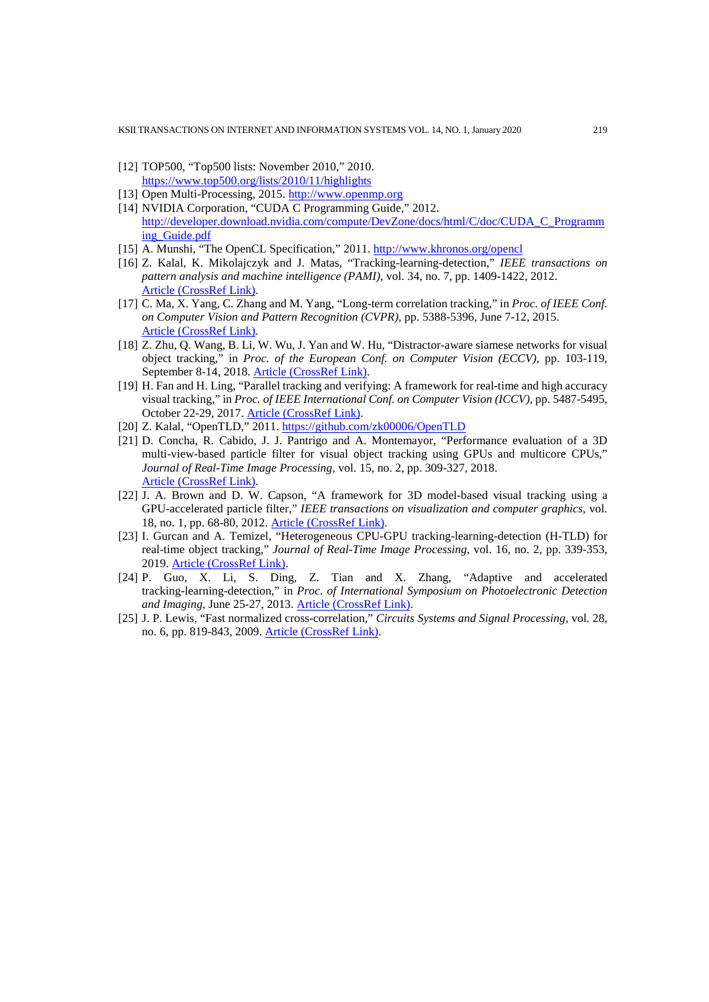KSII TRANSACTIONS ON INTERNET AND INFORMATION SYSTEMS VOL. 14, NO. 1, January 2020 219

- [12] TOP500, "Top500 lists: November 2010," 2010. <https://www.top500.org/lists/2010/11/highlights>
- [13] Open Multi-Processing, 2015. [http://www.openmp.org](http://www.openmp.org/)
- [14] NVIDIA Corporation, "CUDA C Programming Guide," 2012. [http://developer.download.nvidia.com/compute/DevZone/docs/html/C/doc/CUDA\\_C\\_Programm](http://developer.download.nvidia.com/compute/DevZone/docs/html/C/doc/CUDA_C_Programming_Guide.pdf) [ing\\_Guide.pdf](http://developer.download.nvidia.com/compute/DevZone/docs/html/C/doc/CUDA_C_Programming_Guide.pdf)
- [15] A. Munshi, "The OpenCL Specification," 2011[. http://www.khronos.org/opencl](http://www.khronos.org/opencl)
- [16] Z. Kalal, K. Mikolajczyk and J. Matas, "Tracking-learning-detection," *IEEE transactions on pattern analysis and machine intelligence (PAMI)*, vol. 34, no. 7, pp. 1409-1422, 2012. [Article \(CrossRef Link\).](http://dx.doi.org/doi:10.1109/TPAMI.2011.239)
- [17] C. Ma, X. Yang, C. Zhang and M. Yang, "Long-term correlation tracking," in *Proc. of IEEE Conf. on Computer Vision and Pattern Recognition (CVPR)*, pp. 5388-5396, June 7-12, 2015. [Article \(CrossRef Link\).](http://dx.doi.org/doi:10.1109/CVPR.2015.7299177)
- [18] Z. Zhu, Q. Wang, B. Li, W. Wu, J. Yan and W. Hu, "Distractor-aware siamese networks for visual object tracking," in *Proc. of the European Conf. on Computer Vision (ECCV)*, pp. 103-119, September 8-14, 2018. [Article \(CrossRef Link\).](http://dx.doi.org/doi:10.1007/978-3-030-01240-3_7)
- [19] H. Fan and H. Ling, "Parallel tracking and verifying: A framework for real-time and high accuracy visual tracking," in *Proc. of IEEE International Conf. on Computer Vision (ICCV)*, pp. 5487-5495, October 22-29, 2017. [Article \(CrossRef Link\).](http://dx.doi.org/doi:10.1109/iccv.2017.585)
- [20] Z. Kalal, "OpenTLD," 2011.<https://github.com/zk00006/OpenTLD>
- [21] D. Concha, R. Cabido, J. J. Pantrigo and A. Montemayor, "Performance evaluation of a 3D multi-view-based particle filter for visual object tracking using GPUs and multicore CPUs," *Journal of Real-Time Image Processing*, vol. 15, no. 2, pp. 309-327, 2018. [Article \(CrossRef Link\).](http://dx.doi.org/doi:10.1007/s11554-014-0483-1)
- [22] J. A. Brown and D. W. Capson, "A framework for 3D model-based visual tracking using a GPU-accelerated particle filter," *IEEE transactions on visualization and computer graphics*, vol. 18, no. 1, pp. 68-80, 2012. [Article \(CrossRef Link\).](http://dx.doi.org/doi:10.1109/TVCG.2011.34)
- [23] I. Gurcan and A. Temizel, "Heterogeneous CPU-GPU tracking-learning-detection (H-TLD) for real-time object tracking," *Journal of Real-Time Image Processing*, vol. 16, no. 2, pp. 339-353, 2019. [Article \(CrossRef Link\).](http://dx.doi.org/doi:10.1007/s11554-015-0538-y)
- [24] P. Guo, X. Li, S. Ding, Z. Tian and X. Zhang, "Adaptive and accelerated tracking-learning-detection," in *Proc. of International Symposium on Photoelectronic Detection and Imaging*, June 25-27, 2013. [Article \(CrossRef Link\).](http://dx.doi.org/doi:10.1117/12.2034977)
- [25] J. P. Lewis, "Fast normalized cross-correlation," *Circuits Systems and Signal Processing*, vol. 28, no. 6, pp. 819-843, 2009. [Article \(CrossRef Link\).](http://dx.doi.org/doi:10.1007/s00034-009-9130-7)